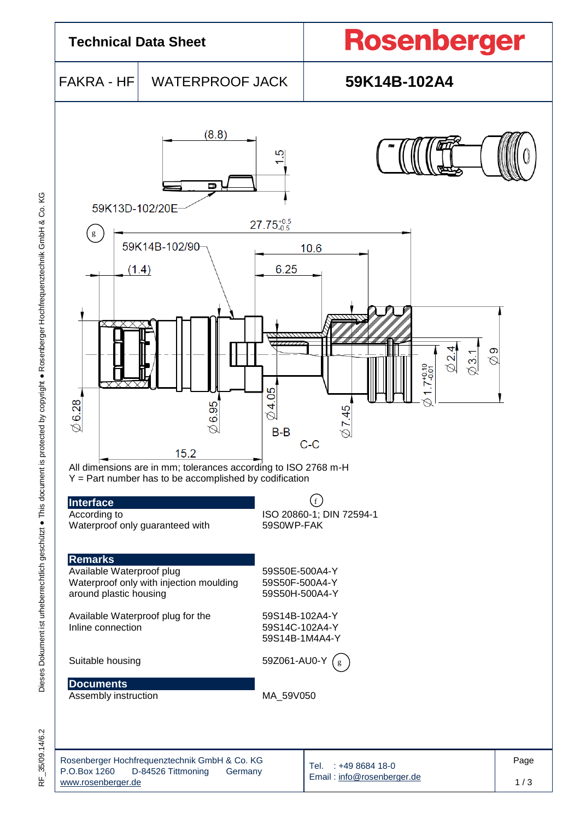

35/09.14/6.2 √⊭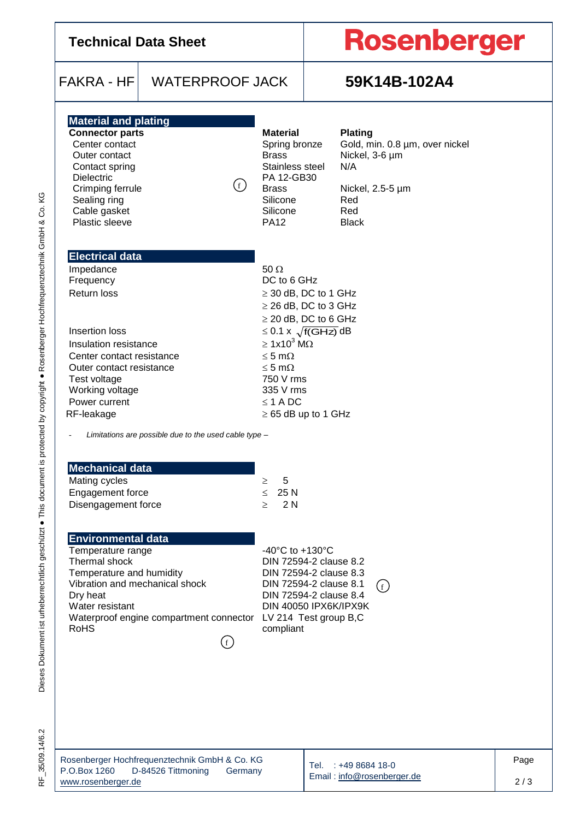| <b>Technical Data Sheet</b>                                                                                                                                                                                                                                    |                                                       |                                                                                                                                                                                                                                                                                                       |  | <b>Rosenberger</b>                                                                                                          |      |  |  |
|----------------------------------------------------------------------------------------------------------------------------------------------------------------------------------------------------------------------------------------------------------------|-------------------------------------------------------|-------------------------------------------------------------------------------------------------------------------------------------------------------------------------------------------------------------------------------------------------------------------------------------------------------|--|-----------------------------------------------------------------------------------------------------------------------------|------|--|--|
| $FAKRA - HF$                                                                                                                                                                                                                                                   | <b>WATERPROOF JACK</b>                                |                                                                                                                                                                                                                                                                                                       |  | 59K14B-102A4                                                                                                                |      |  |  |
| <b>Material and plating</b><br><b>Connector parts</b><br>Center contact<br>Outer contact<br>Contact spring<br><b>Dielectric</b><br>Crimping ferrule<br>Sealing ring<br>Cable gasket<br>Plastic sleeve                                                          | ( f )                                                 | <b>Material</b><br>Spring bronze<br><b>Brass</b><br>Stainless steel<br>PA 12-GB30<br><b>Brass</b><br>Silicone<br>Silicone<br><b>PA12</b>                                                                                                                                                              |  | <b>Plating</b><br>Gold, min. 0.8 µm, over nickel<br>Nickel, 3-6 µm<br>N/A<br>Nickel, 2.5-5 µm<br>Red<br>Red<br><b>Black</b> |      |  |  |
| <b>Electrical data</b><br>Impedance<br>Frequency<br><b>Return loss</b><br>Insertion loss<br>Insulation resistance<br>Center contact resistance<br>Outer contact resistance<br>Test voltage<br>Working voltage<br>Power current<br>RF-leakage                   |                                                       | $50 \Omega$<br>DC to 6 GHz<br>$\geq$ 30 dB, DC to 1 GHz<br>$\geq$ 26 dB, DC to 3 GHz<br>$\geq$ 20 dB, DC to 6 GHz<br>$\leq$ 0.1 x $\sqrt{f(GHz)}$ dB<br>$\geq 1x10^3$ M $\Omega$<br>$\leq$ 5 m $\Omega$<br>$\leq$ 5 m $\Omega$<br>750 V rms<br>335 V rms<br>$\leq$ 1 A DC<br>$\geq 65$ dB up to 1 GHz |  |                                                                                                                             |      |  |  |
| <b>Mechanical data</b><br>Mating cycles<br>Engagement force<br>Disengagement force                                                                                                                                                                             | Limitations are possible due to the used cable type - | 5<br>$\geq$<br>25 N<br>$\leq$<br>2N<br>$\geq$                                                                                                                                                                                                                                                         |  |                                                                                                                             |      |  |  |
| <b>Environmental data</b><br>Temperature range<br>Thermal shock<br>Temperature and humidity<br>Vibration and mechanical shock<br>Dry heat<br>Water resistant<br>Waterproof engine compartment connector LV 214 Test group B,C<br><b>RoHS</b><br>$\mathfrak{f}$ |                                                       | -40 $^{\circ}$ C to +130 $^{\circ}$ C<br>DIN 72594-2 clause 8.2<br>DIN 72594-2 clause 8.3<br>DIN 72594-2 clause 8.1<br>(f)<br>DIN 72594-2 clause 8.4<br>DIN 40050 IPX6K/IPX9K<br>compliant                                                                                                            |  |                                                                                                                             |      |  |  |
|                                                                                                                                                                                                                                                                | Rosenberger Hochfrequenztechnik GmbH & Co. KG         |                                                                                                                                                                                                                                                                                                       |  | 1400004400                                                                                                                  | Page |  |  |

RF\_35/09.14/6.2

Tel. : +49 8684 18-0 Email [: info@rosenberger.de](mailto:info@rosenberger.de)

2 / 3